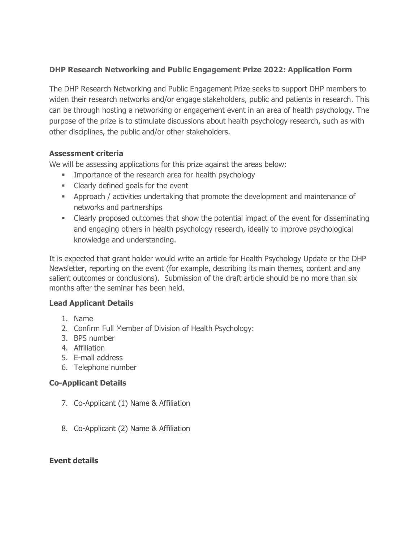# **DHP Research Networking and Public Engagement Prize 2022: Application Form**

The DHP Research Networking and Public Engagement Prize seeks to support DHP members to widen their research networks and/or engage stakeholders, public and patients in research. This can be through hosting a networking or engagement event in an area of health psychology. The purpose of the prize is to stimulate discussions about health psychology research, such as with other disciplines, the public and/or other stakeholders.

#### **Assessment criteria**

We will be assessing applications for this prize against the areas below:

- **IMPORTANCE OF the research area for health psychology**
- **EXECUTE:** Clearly defined goals for the event
- Approach / activities undertaking that promote the development and maintenance of networks and partnerships
- Clearly proposed outcomes that show the potential impact of the event for disseminating and engaging others in health psychology research, ideally to improve psychological knowledge and understanding.

It is expected that grant holder would write an article for Health Psychology Update or the DHP Newsletter, reporting on the event (for example, describing its main themes, content and any salient outcomes or conclusions). Submission of the draft article should be no more than six months after the seminar has been held.

# **Lead Applicant Details**

- 1. Name
- 2. Confirm Full Member of Division of Health Psychology:
- 3. BPS number
- 4. Affiliation
- 5. E-mail address
- 6. Telephone number

# **Co-Applicant Details**

- 7. Co-Applicant (1) Name & Affiliation
- 8. Co-Applicant (2) Name & Affiliation

#### **Event details**